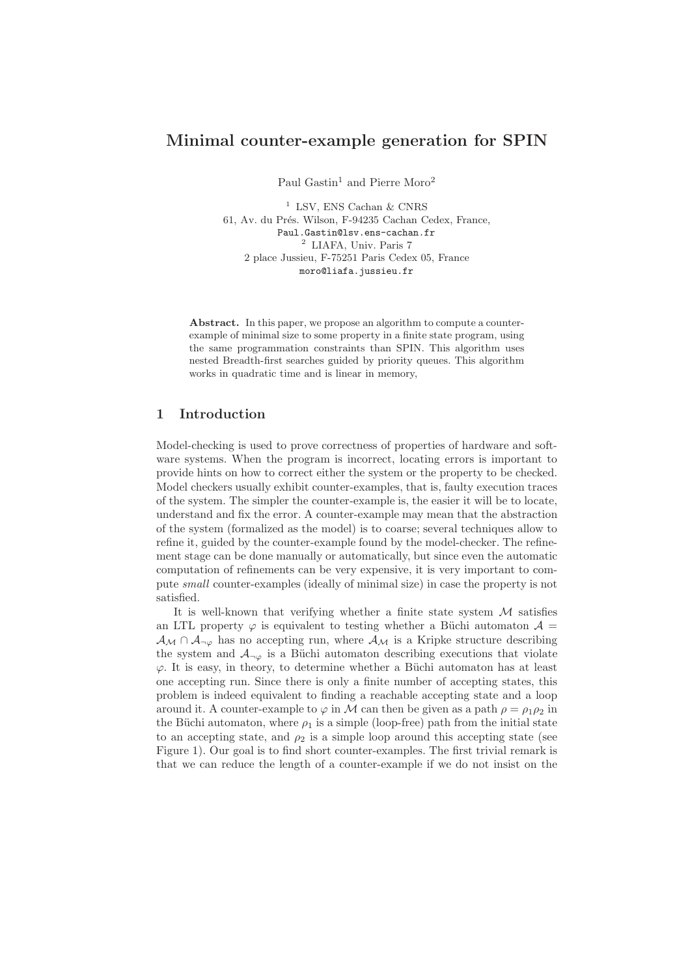# Minimal counter-example generation for SPIN

Paul Gastin<sup>1</sup> and Pierre Moro<sup>2</sup>

<sup>1</sup> LSV, ENS Cachan  $\&$  CNRS 61, Av. du Prés. Wilson, F-94235 Cachan Cedex, France, Paul.Gastin@lsv.ens-cachan.fr <sup>2</sup> LIAFA, Univ. Paris 7 2 place Jussieu, F-75251 Paris Cedex 05, France moro@liafa.jussieu.fr

Abstract. In this paper, we propose an algorithm to compute a counterexample of minimal size to some property in a finite state program, using the same programmation constraints than SPIN. This algorithm uses nested Breadth-first searches guided by priority queues. This algorithm works in quadratic time and is linear in memory,

# 1 Introduction

Model-checking is used to prove correctness of properties of hardware and software systems. When the program is incorrect, locating errors is important to provide hints on how to correct either the system or the property to be checked. Model checkers usually exhibit counter-examples, that is, faulty execution traces of the system. The simpler the counter-example is, the easier it will be to locate, understand and fix the error. A counter-example may mean that the abstraction of the system (formalized as the model) is to coarse; several techniques allow to refine it, guided by the counter-example found by the model-checker. The refinement stage can be done manually or automatically, but since even the automatic computation of refinements can be very expensive, it is very important to compute small counter-examples (ideally of minimal size) in case the property is not satisfied.

It is well-known that verifying whether a finite state system  $M$  satisfies an LTL property  $\varphi$  is equivalent to testing whether a Büchi automaton  $\mathcal{A} =$  $\mathcal{A}_{\mathcal{M}} \cap \mathcal{A}_{\neg \varphi}$  has no accepting run, where  $\mathcal{A}_{\mathcal{M}}$  is a Kripke structure describing the system and  $A_{\neg \varphi}$  is a Büchi automaton describing executions that violate  $\varphi$ . It is easy, in theory, to determine whether a Büchi automaton has at least one accepting run. Since there is only a finite number of accepting states, this problem is indeed equivalent to finding a reachable accepting state and a loop around it. A counter-example to  $\varphi$  in M can then be given as a path  $\rho = \rho_1 \rho_2$  in the Büchi automaton, where  $\rho_1$  is a simple (loop-free) path from the initial state to an accepting state, and  $\rho_2$  is a simple loop around this accepting state (see Figure 1). Our goal is to find short counter-examples. The first trivial remark is that we can reduce the length of a counter-example if we do not insist on the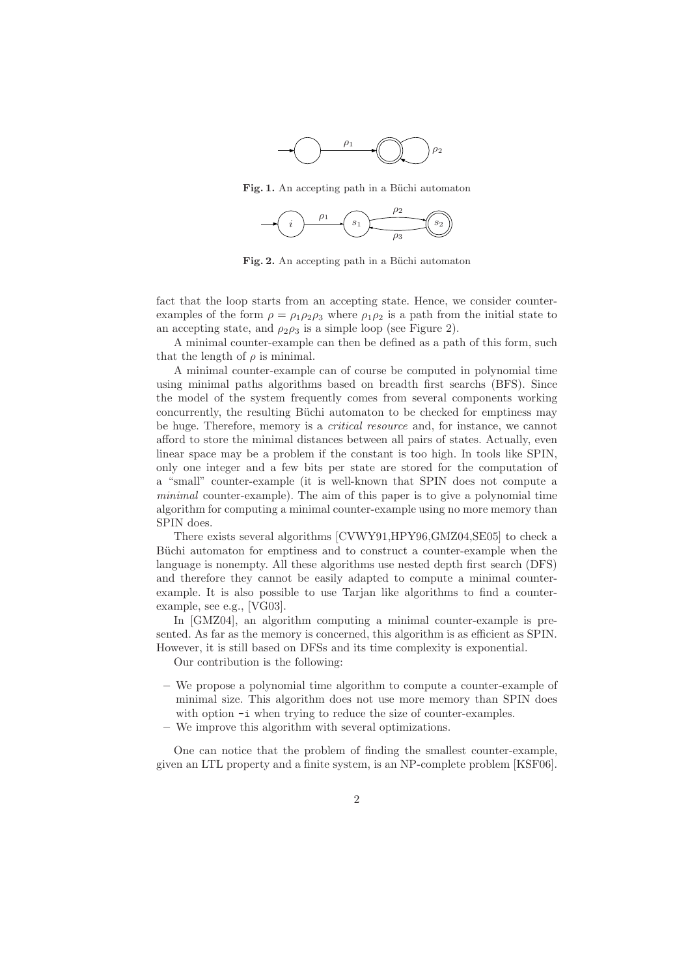

Fig. 1. An accepting path in a Büchi automaton



Fig. 2. An accepting path in a Büchi automaton

fact that the loop starts from an accepting state. Hence, we consider counterexamples of the form  $\rho = \rho_1 \rho_2 \rho_3$  where  $\rho_1 \rho_2$  is a path from the initial state to an accepting state, and  $\rho_2 \rho_3$  is a simple loop (see Figure 2).

A minimal counter-example can then be defined as a path of this form, such that the length of  $\rho$  is minimal.

A minimal counter-example can of course be computed in polynomial time using minimal paths algorithms based on breadth first searchs (BFS). Since the model of the system frequently comes from several components working concurrently, the resulting Büchi automaton to be checked for emptiness may be huge. Therefore, memory is a *critical resource* and, for instance, we cannot afford to store the minimal distances between all pairs of states. Actually, even linear space may be a problem if the constant is too high. In tools like SPIN, only one integer and a few bits per state are stored for the computation of a "small" counter-example (it is well-known that SPIN does not compute a minimal counter-example). The aim of this paper is to give a polynomial time algorithm for computing a minimal counter-example using no more memory than SPIN does.

There exists several algorithms [CVWY91,HPY96,GMZ04,SE05] to check a Büchi automaton for emptiness and to construct a counter-example when the language is nonempty. All these algorithms use nested depth first search (DFS) and therefore they cannot be easily adapted to compute a minimal counterexample. It is also possible to use Tarjan like algorithms to find a counterexample, see e.g., [VG03].

In [GMZ04], an algorithm computing a minimal counter-example is presented. As far as the memory is concerned, this algorithm is as efficient as SPIN. However, it is still based on DFSs and its time complexity is exponential.

Our contribution is the following:

- We propose a polynomial time algorithm to compute a counter-example of minimal size. This algorithm does not use more memory than SPIN does with option  $-i$  when trying to reduce the size of counter-examples.
- We improve this algorithm with several optimizations.

One can notice that the problem of finding the smallest counter-example, given an LTL property and a finite system, is an NP-complete problem [KSF06].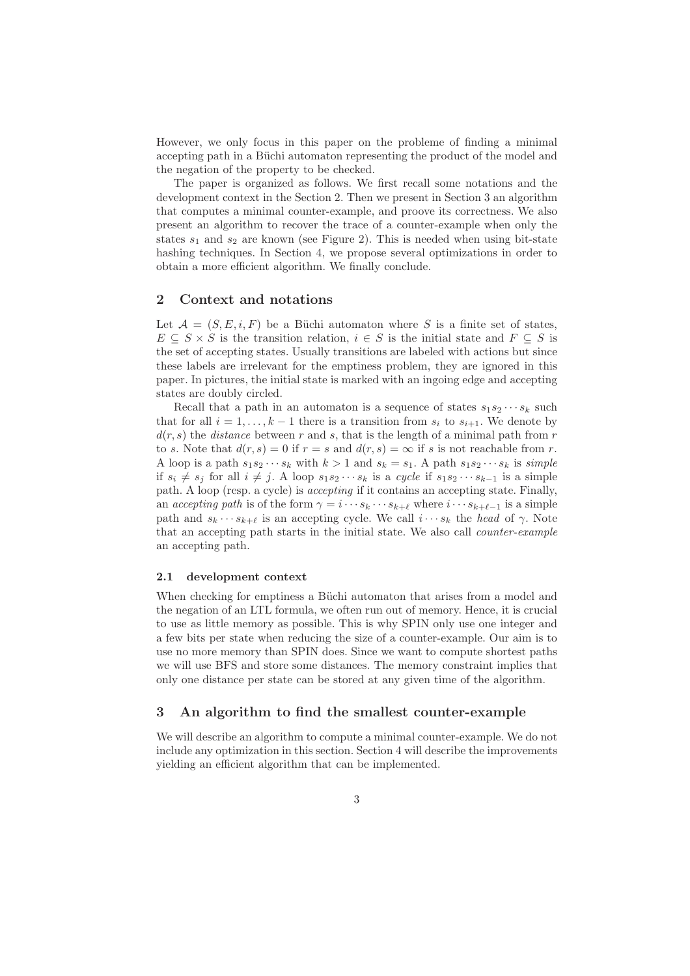However, we only focus in this paper on the probleme of finding a minimal accepting path in a Büchi automaton representing the product of the model and the negation of the property to be checked.

The paper is organized as follows. We first recall some notations and the development context in the Section 2. Then we present in Section 3 an algorithm that computes a minimal counter-example, and proove its correctness. We also present an algorithm to recover the trace of a counter-example when only the states  $s_1$  and  $s_2$  are known (see Figure 2). This is needed when using bit-state hashing techniques. In Section 4, we propose several optimizations in order to obtain a more efficient algorithm. We finally conclude.

# 2 Context and notations

Let  $\mathcal{A} = (S, E, i, F)$  be a Büchi automaton where S is a finite set of states,  $E \subseteq S \times S$  is the transition relation,  $i \in S$  is the initial state and  $F \subseteq S$  is the set of accepting states. Usually transitions are labeled with actions but since these labels are irrelevant for the emptiness problem, they are ignored in this paper. In pictures, the initial state is marked with an ingoing edge and accepting states are doubly circled.

Recall that a path in an automaton is a sequence of states  $s_1s_2\cdots s_k$  such that for all  $i = 1, \ldots, k - 1$  there is a transition from  $s_i$  to  $s_{i+1}$ . We denote by  $d(r, s)$  the *distance* between r and s, that is the length of a minimal path from r to s. Note that  $d(r, s) = 0$  if  $r = s$  and  $d(r, s) = \infty$  if s is not reachable from r. A loop is a path  $s_1s_2\cdots s_k$  with  $k>1$  and  $s_k=s_1$ . A path  $s_1s_2\cdots s_k$  is simple if  $s_i \neq s_j$  for all  $i \neq j$ . A loop  $s_1s_2 \cdots s_k$  is a cycle if  $s_1s_2 \cdots s_{k-1}$  is a simple path. A loop (resp. a cycle) is accepting if it contains an accepting state. Finally, an accepting path is of the form  $\gamma = i \cdots s_k \cdots s_{k+\ell}$  where  $i \cdots s_{k+\ell-1}$  is a simple path and  $s_k \cdots s_{k+\ell}$  is an accepting cycle. We call  $i \cdots s_k$  the head of  $\gamma$ . Note that an accepting path starts in the initial state. We also call counter-example an accepting path.

### 2.1 development context

When checking for emptiness a Büchi automaton that arises from a model and the negation of an LTL formula, we often run out of memory. Hence, it is crucial to use as little memory as possible. This is why SPIN only use one integer and a few bits per state when reducing the size of a counter-example. Our aim is to use no more memory than SPIN does. Since we want to compute shortest paths we will use BFS and store some distances. The memory constraint implies that only one distance per state can be stored at any given time of the algorithm.

# 3 An algorithm to find the smallest counter-example

We will describe an algorithm to compute a minimal counter-example. We do not include any optimization in this section. Section 4 will describe the improvements yielding an efficient algorithm that can be implemented.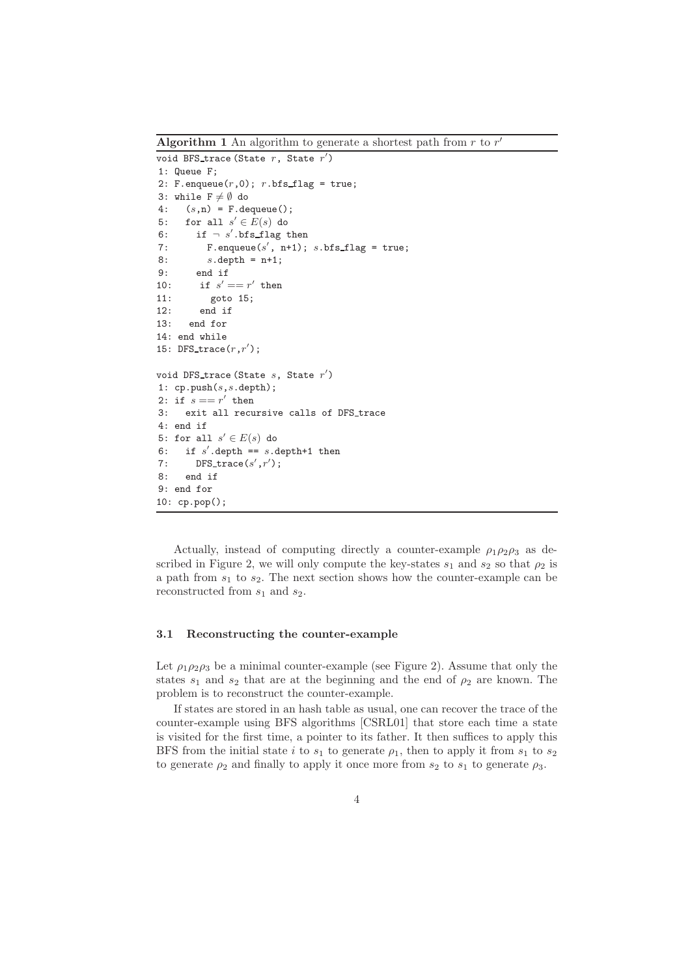Algorithm 1 An algorithm to generate a shortest path from  $r$  to  $r'$ 

```
void BFS_trace (State r, State r')
1: Queue F;
2: F.enqueue(r,0); r.bfs_f1ag = true;3: while F \neq \emptyset do
4: (s,n) = F.dequeue();5: for all s' \in E(s) do
6: if \neg s'.bfs_flag then
7: F.enqueue(s', n+1); s.bfs_flag = true;
8: s.\text{depth} = n+1;9: end if
10: if s' == r' then
11: goto 15;
12: end if
13: end for
14: end while
15: DFS_trace(r, r');
void DFS_trace (State s, State r')
1: cp.push(s, s.depth);
2: if s == r' then
3: exit all recursive calls of DFS_trace
4: end if
5: for all s' \in E(s) do
6: if s'.depth == s.depth+1 then
7: DFS_trace(s',r');
8: end if
9: end for
10: cp.pop();
```
Actually, instead of computing directly a counter-example  $\rho_1 \rho_2 \rho_3$  as described in Figure 2, we will only compute the key-states  $s_1$  and  $s_2$  so that  $\rho_2$  is a path from  $s_1$  to  $s_2$ . The next section shows how the counter-example can be reconstructed from  $s_1$  and  $s_2$ .

## 3.1 Reconstructing the counter-example

Let  $\rho_1 \rho_2 \rho_3$  be a minimal counter-example (see Figure 2). Assume that only the states  $s_1$  and  $s_2$  that are at the beginning and the end of  $\rho_2$  are known. The problem is to reconstruct the counter-example.

If states are stored in an hash table as usual, one can recover the trace of the counter-example using BFS algorithms [CSRL01] that store each time a state is visited for the first time, a pointer to its father. It then suffices to apply this BFS from the initial state i to  $s_1$  to generate  $\rho_1$ , then to apply it from  $s_1$  to  $s_2$ to generate  $\rho_2$  and finally to apply it once more from  $s_2$  to  $s_1$  to generate  $\rho_3$ .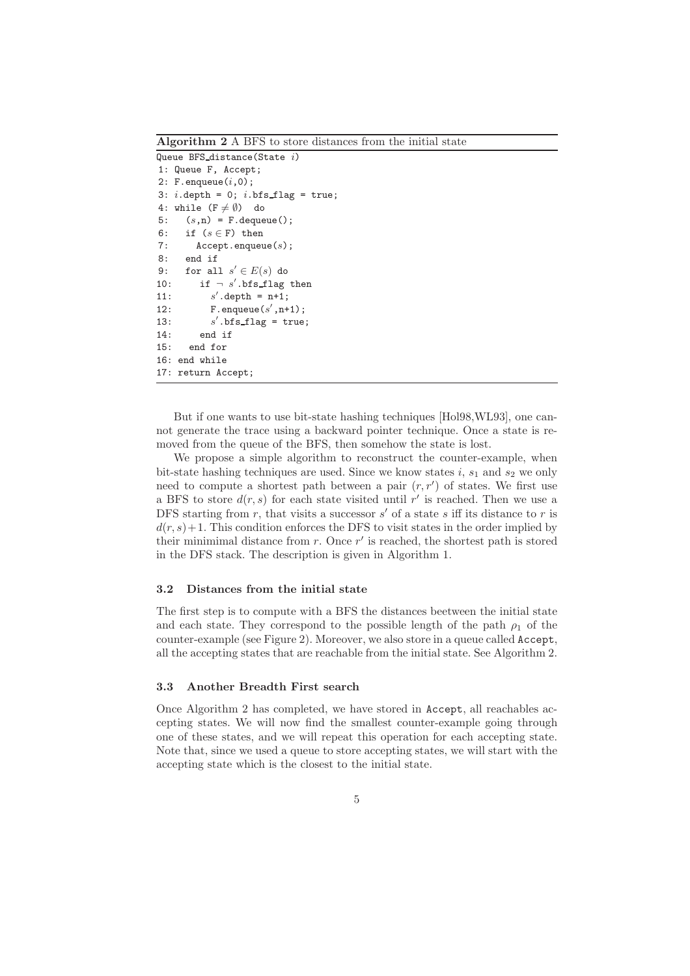Algorithm 2 A BFS to store distances from the initial state

```
Queue BFS_distance(State i)
1: Queue F, Accept;
2: F. enqueue(i, 0);
3: i.depth = 0; i.bfs_flag = true;
4: while (F \neq \emptyset) do
5: (s,n) = F. dequeue();
6: if (s \in F) then
7: Accept.enqueue(s);
8: end if
9: for all s' \in E(s) do
10: if \neg s'.\text{bfs\_flag then}11:\alpha'.depth = n+1;
12: F.enqueue(s', n+1);
13:\sin^2 .bfs_flag = true;
14: end if
15: end for
16: end while
17: return Accept;
```
But if one wants to use bit-state hashing techniques [Hol98,WL93], one cannot generate the trace using a backward pointer technique. Once a state is removed from the queue of the BFS, then somehow the state is lost.

We propose a simple algorithm to reconstruct the counter-example, when bit-state hashing techniques are used. Since we know states  $i$ ,  $s_1$  and  $s_2$  we only need to compute a shortest path between a pair  $(r, r')$  of states. We first use a BFS to store  $d(r, s)$  for each state visited until r' is reached. Then we use a DFS starting from r, that visits a successor  $s'$  of a state s iff its distance to r is  $d(r, s) + 1$ . This condition enforces the DFS to visit states in the order implied by their minimimal distance from  $r$ . Once  $r'$  is reached, the shortest path is stored in the DFS stack. The description is given in Algorithm 1.

# 3.2 Distances from the initial state

The first step is to compute with a BFS the distances beetween the initial state and each state. They correspond to the possible length of the path  $\rho_1$  of the counter-example (see Figure 2). Moreover, we also store in a queue called Accept, all the accepting states that are reachable from the initial state. See Algorithm 2.

#### 3.3 Another Breadth First search

Once Algorithm 2 has completed, we have stored in Accept, all reachables accepting states. We will now find the smallest counter-example going through one of these states, and we will repeat this operation for each accepting state. Note that, since we used a queue to store accepting states, we will start with the accepting state which is the closest to the initial state.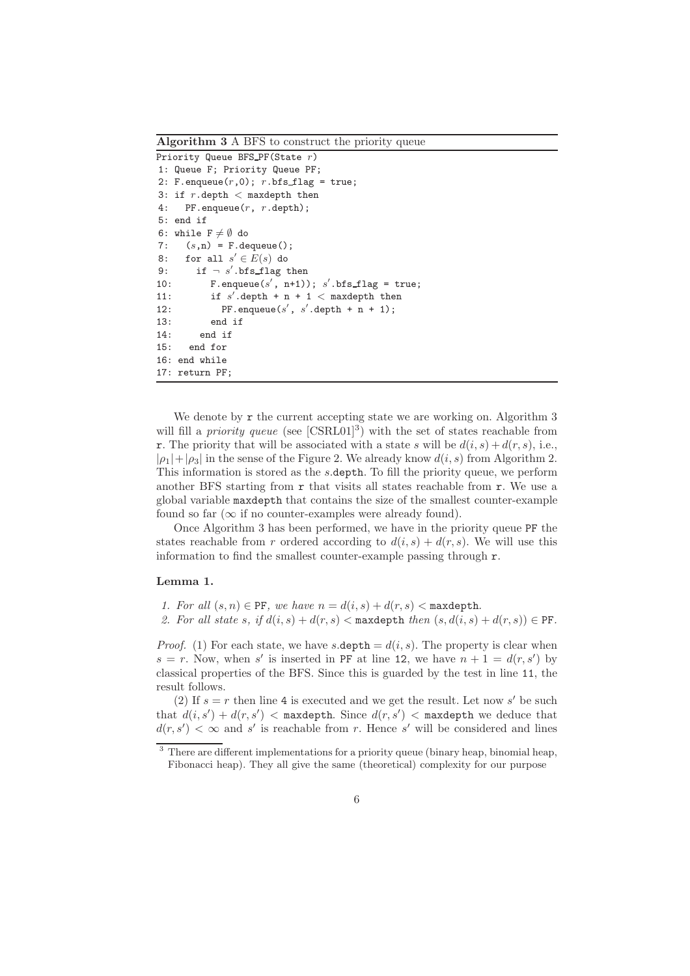Algorithm 3 A BFS to construct the priority queue

Priority Queue BFS\_PF(State r) 1: Queue F; Priority Queue PF; 2: F.enqueue $(r,0)$ ; r.bfs\_flag = true; 3: if  $r$ .depth  $\lt$  maxdepth then 4: PF.enqueue(r, r.depth); 5: end if 6: while  $F \neq \emptyset$  do 7:  $(s,n) = F$ . dequeue(); 8: for all  $s' \in E(s)$  do 9: if  $\neg s'$ .bfs\_flag then 10: F.enqueue $(s', n+1)$ ; s'.bfs\_flag = true; 11: if  $s'$  depth + n + 1 < maxdepth then 12: PF.enqueue(s', s'.depth + n + 1); 13: end if 14: end if 15: end for 16: end while 17: return PF;

We denote by  $\mathbf r$  the current accepting state we are working on. Algorithm 3 will fill a *priority queue* (see  $[\text{CSRL01}]^3$ ) with the set of states reachable from **r**. The priority that will be associated with a state s will be  $d(i, s) + d(r, s)$ , i.e.,  $|\rho_1|+|\rho_3|$  in the sense of the Figure 2. We already know  $d(i, s)$  from Algorithm 2. This information is stored as the s.depth. To fill the priority queue, we perform another BFS starting from  $r$  that visits all states reachable from  $r$ . We use a global variable maxdepth that contains the size of the smallest counter-example found so far  $(\infty$  if no counter-examples were already found).

Once Algorithm 3 has been performed, we have in the priority queue PF the states reachable from r ordered according to  $d(i, s) + d(r, s)$ . We will use this information to find the smallest counter-example passing through r.

#### Lemma 1.

1. For all  $(s, n) \in \text{PF}$ , we have  $n = d(i, s) + d(r, s) < \text{maxdepth}$ .

2. For all state s, if  $d(i, s) + d(r, s) <$  maxdepth then  $(s, d(i, s) + d(r, s)) \in \text{PF}$ .

*Proof.* (1) For each state, we have s.depth =  $d(i, s)$ . The property is clear when  $s = r$ . Now, when s' is inserted in PF at line 12, we have  $n + 1 = d(r, s')$  by classical properties of the BFS. Since this is guarded by the test in line 11, the result follows.

(2) If  $s = r$  then line 4 is executed and we get the result. Let now s' be such that  $d(i, s') + d(r, s') <$  maxdepth. Since  $d(r, s') <$  maxdepth we deduce that  $d(r, s') < \infty$  and s' is reachable from r. Hence s' will be considered and lines

<sup>&</sup>lt;sup>3</sup> There are different implementations for a priority queue (binary heap, binomial heap, Fibonacci heap). They all give the same (theoretical) complexity for our purpose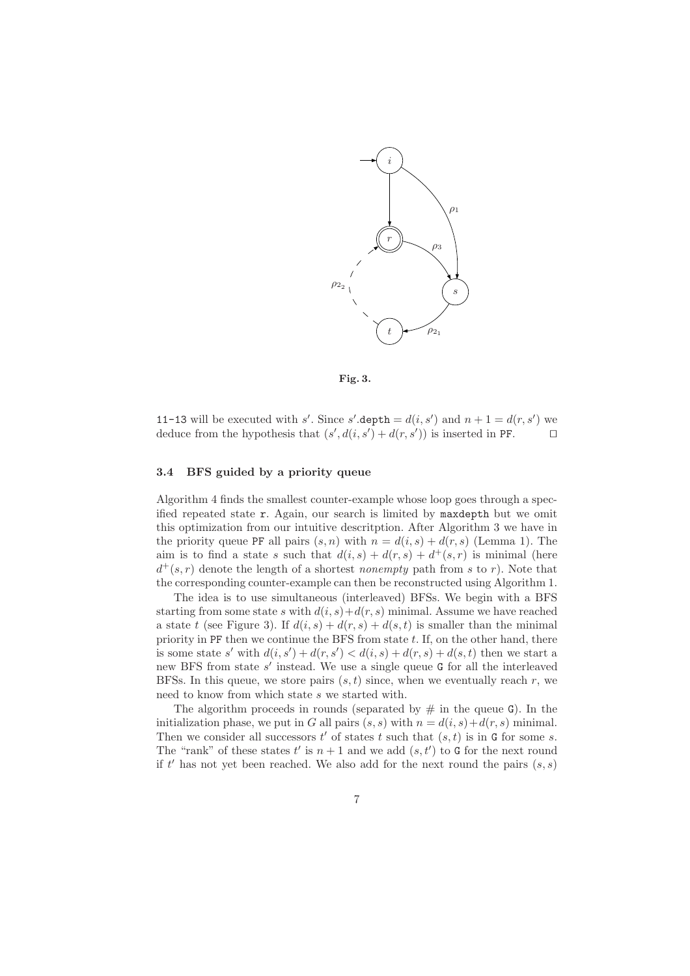

Fig. 3.

11-13 will be executed with s'. Since s' depth =  $d(i, s')$  and  $n + 1 = d(r, s')$  we deduce from the hypothesis that  $(s', d(i, s') + d(r, s'))$  is inserted in PF. □

# 3.4 BFS guided by a priority queue

Algorithm 4 finds the smallest counter-example whose loop goes through a specified repeated state r. Again, our search is limited by maxdepth but we omit this optimization from our intuitive descritption. After Algorithm 3 we have in the priority queue PF all pairs  $(s, n)$  with  $n = d(i, s) + d(r, s)$  (Lemma 1). The aim is to find a state s such that  $d(i, s) + d(r, s) + d^+(s, r)$  is minimal (here  $d^+(s,r)$  denote the length of a shortest *nonempty* path from s to r). Note that the corresponding counter-example can then be reconstructed using Algorithm 1.

The idea is to use simultaneous (interleaved) BFSs. We begin with a BFS starting from some state s with  $d(i, s) + d(r, s)$  minimal. Assume we have reached a state t (see Figure 3). If  $d(i, s) + d(r, s) + d(s, t)$  is smaller than the minimal priority in PF then we continue the BFS from state  $t$ . If, on the other hand, there is some state s' with  $d(i, s') + d(r, s') < d(i, s) + d(r, s) + d(s, t)$  then we start a new BFS from state  $s'$  instead. We use a single queue G for all the interleaved BFSs. In this queue, we store pairs  $(s, t)$  since, when we eventually reach r, we need to know from which state s we started with.

The algorithm proceeds in rounds (separated by  $\#$  in the queue G). In the initialization phase, we put in G all pairs  $(s, s)$  with  $n = d(i, s) + d(r, s)$  minimal. Then we consider all successors  $t'$  of states  $t$  such that  $(s, t)$  is in G for some s. The "rank" of these states  $t'$  is  $n+1$  and we add  $(s, t')$  to G for the next round if  $t'$  has not yet been reached. We also add for the next round the pairs  $(s, s)$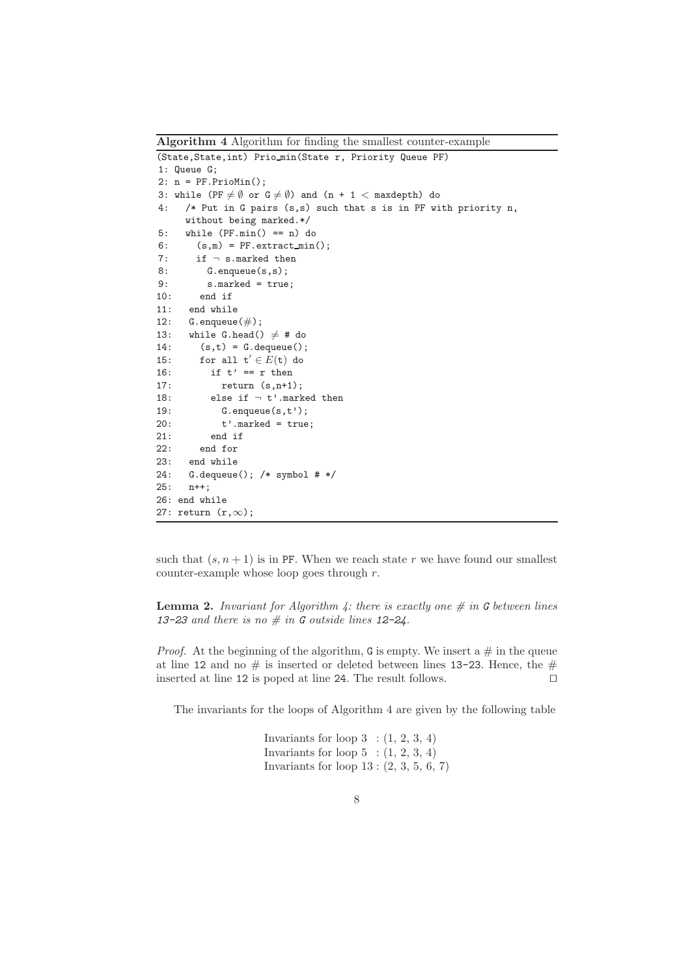Algorithm 4 Algorithm for finding the smallest counter-example (State,State,int) Prio min(State r, Priority Queue PF) 1: Queue G; 2: n = PF.PrioMin(); 3: while (PF  $\neq$   $\emptyset$  or  $G \neq \emptyset$ ) and (n + 1 < maxdepth) do 4: /\* Put in G pairs (s,s) such that s is in PF with priority n, without being marked.\*/ 5: while (PF.min() == n) do 6:  $(s,m) = PF<sup>ta</sup> (s,m) = p. extract_min();$ 7: if  $\neg$  s.marked then 8: G.enqueue(s,s); 9: s.marked = true; 10: end if 11: end while 12:  $G.\nequivue(\#);$ 13: while G.head()  $\neq$  # do 14:  $(s,t) = G$ . dequeue(); 15: for all  $t' \in E(t)$  do 16: if  $t' = r$  then 17: return (s,n+1); 18: else if  $\neg$  t'.marked then 19: G.enqueue(s,t');  $20:$   $t'$ .marked =  $true;$ 21: end if 22: end for 23: end while 24: G.dequeue(); /\* symbol # \*/ 25: n++; 26: end while 27: return (r,∞);

such that  $(s, n + 1)$  is in PF. When we reach state r we have found our smallest counter-example whose loop goes through r.

**Lemma 2.** Invariant for Algorithm 4: there is exactly one  $\#$  in G between lines 13-23 and there is no  $\#$  in G outside lines 12-24.

*Proof.* At the beginning of the algorithm, G is empty. We insert a  $\#$  in the queue at line 12 and no  $\#$  is inserted or deleted between lines 13-23. Hence, the  $\#$ inserted at line 12 is poped at line 24. The result follows. ⊓⊔

The invariants for the loops of Algorithm 4 are given by the following table

Invariants for loop  $3$  :  $(1, 2, 3, 4)$ Invariants for loop  $5$  :  $(1, 2, 3, 4)$ Invariants for loop 13 : (2, 3, 5, 6, 7)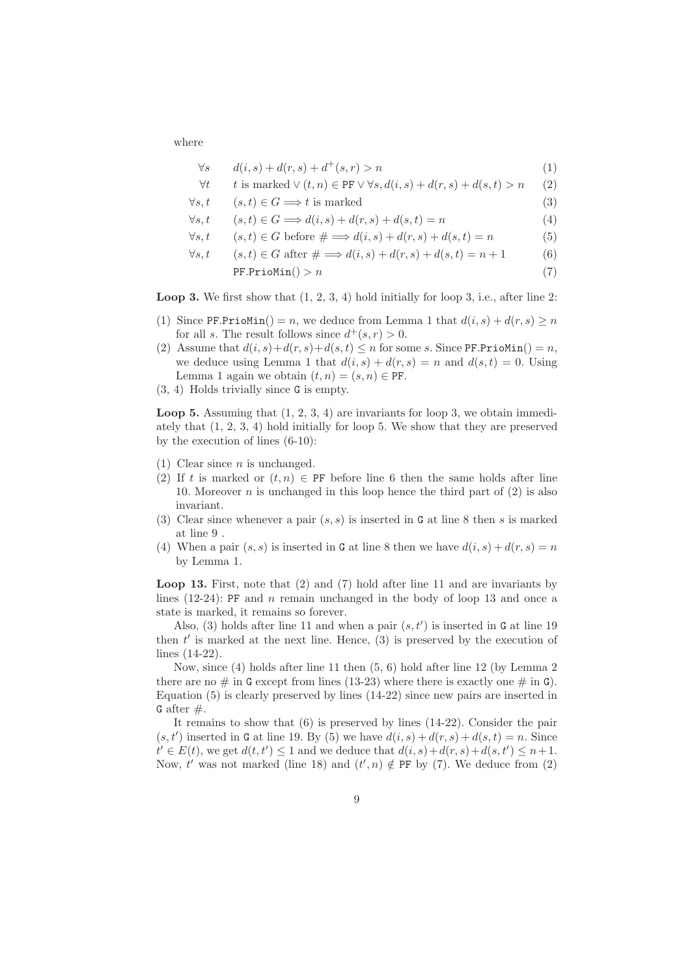where

$$
\forall s \qquad d(i,s) + d(r,s) + d^+(s,r) > n \tag{1}
$$

$$
\forall t \qquad t \text{ is marked} \lor (t, n) \in \text{PF} \lor \forall s, d(i, s) + d(r, s) + d(s, t) > n \qquad (2)
$$

$$
\forall s, t \qquad (s, t) \in G \Longrightarrow t \text{ is marked}
$$
 (3)

- $\forall s, t \qquad (s, t) \in G \Longrightarrow d(i, s) + d(r, s) + d(s, t) = n$  (4)
- $\forall s, t \quad (s, t) \in G$  before  $\# \Longrightarrow d(i, s) + d(r, s) + d(s, t) = n$  (5)
- $\forall s, t \quad (s, t) \in G \text{ after } \# \Longrightarrow d(i, s) + d(r, s) + d(s, t) = n + 1$  (6)

$$
PF.PrioMin() > n \tag{7}
$$

**Loop 3.** We first show that  $(1, 2, 3, 4)$  hold initially for loop 3, i.e., after line 2:

- (1) Since PF.PrioMin() = n, we deduce from Lemma 1 that  $d(i, s) + d(r, s) \geq n$ for all s. The result follows since  $d^+(s, r) > 0$ .
- (2) Assume that  $d(i, s) + d(r, s) + d(s, t) \leq n$  for some s. Since PF.PrioMin() = n, we deduce using Lemma 1 that  $d(i, s) + d(r, s) = n$  and  $d(s, t) = 0$ . Using Lemma 1 again we obtain  $(t, n) = (s, n) \in \text{PF}.$
- (3, 4) Holds trivially since G is empty.

**Loop 5.** Assuming that  $(1, 2, 3, 4)$  are invariants for loop 3, we obtain immediately that (1, 2, 3, 4) hold initially for loop 5. We show that they are preserved by the execution of lines (6-10):

- $(1)$  Clear since *n* is unchanged.
- (2) If t is marked or  $(t, n) \in \text{PF}$  before line 6 then the same holds after line 10. Moreover *n* is unchanged in this loop hence the third part of  $(2)$  is also invariant.
- (3) Clear since whenever a pair  $(s, s)$  is inserted in G at line 8 then s is marked at line 9 .
- (4) When a pair  $(s, s)$  is inserted in G at line 8 then we have  $d(i, s) + d(r, s) = n$ by Lemma 1.

Loop 13. First, note that (2) and (7) hold after line 11 and are invariants by lines  $(12-24)$ : PF and *n* remain unchanged in the body of loop 13 and once a state is marked, it remains so forever.

Also, (3) holds after line 11 and when a pair  $(s, t')$  is inserted in G at line 19 then  $t'$  is marked at the next line. Hence,  $(3)$  is preserved by the execution of lines (14-22).

Now, since (4) holds after line 11 then (5, 6) hold after line 12 (by Lemma 2 there are no  $\#$  in G except from lines (13-23) where there is exactly one  $\#$  in G). Equation (5) is clearly preserved by lines (14-22) since new pairs are inserted in G after  $#$ .

It remains to show that (6) is preserved by lines (14-22). Consider the pair  $(s, t')$  inserted in G at line 19. By (5) we have  $d(i, s) + d(r, s) + d(s, t) = n$ . Since  $t' \in E(t)$ , we get  $d(t, t') \leq 1$  and we deduce that  $d(i, s) + d(r, s) + d(s, t') \leq n + 1$ . Now, t' was not marked (line 18) and  $(t', n) \notin \text{PF}$  by (7). We deduce from (2)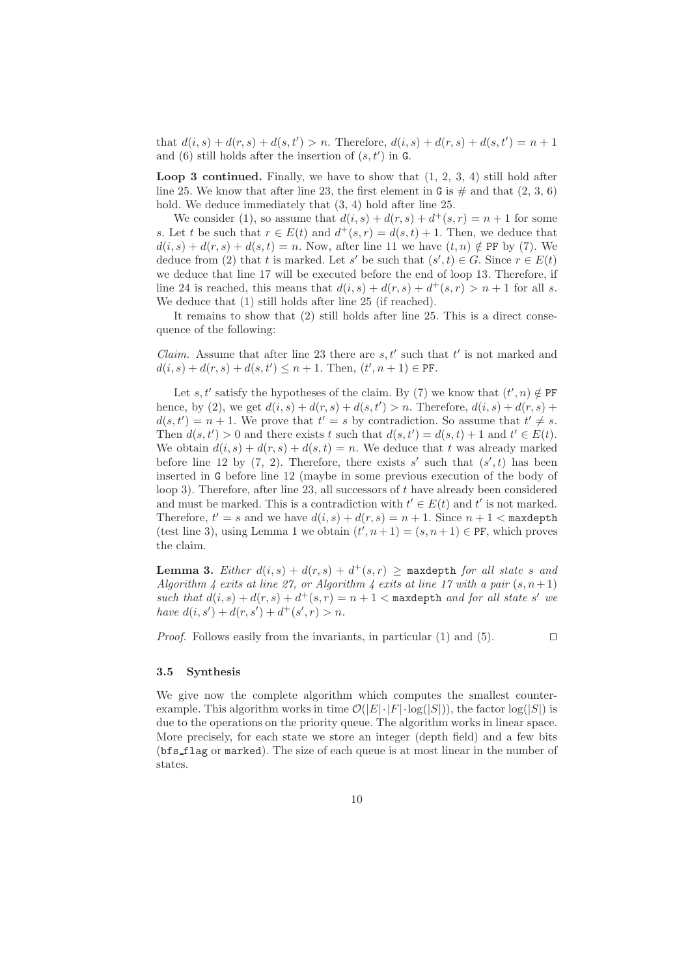that  $d(i, s) + d(r, s) + d(s, t') > n$ . Therefore,  $d(i, s) + d(r, s) + d(s, t') = n + 1$ and  $(6)$  still holds after the insertion of  $(s, t')$  in G.

**Loop 3 continued.** Finally, we have to show that  $(1, 2, 3, 4)$  still hold after line 25. We know that after line 23, the first element in G is  $\#$  and that  $(2, 3, 6)$ hold. We deduce immediately that  $(3, 4)$  hold after line 25.

We consider (1), so assume that  $d(i, s) + d(r, s) + d^+(s, r) = n + 1$  for some s. Let t be such that  $r \in E(t)$  and  $d^+(s,r) = d(s,t) + 1$ . Then, we deduce that  $d(i, s) + d(r, s) + d(s, t) = n$ . Now, after line 11 we have  $(t, n) \notin \text{PF}$  by (7). We deduce from (2) that t is marked. Let s' be such that  $(s', t) \in G$ . Since  $r \in E(t)$ we deduce that line 17 will be executed before the end of loop 13. Therefore, if line 24 is reached, this means that  $d(i, s) + d(r, s) + d^+(s, r) > n + 1$  for all s. We deduce that (1) still holds after line 25 (if reached).

It remains to show that (2) still holds after line 25. This is a direct consequence of the following:

*Claim.* Assume that after line 23 there are  $s, t'$  such that  $t'$  is not marked and  $d(i, s) + d(r, s) + d(s, t') \leq n + 1$ . Then,  $(t', n + 1) \in \text{PF}$ .

Let s, t' satisfy the hypotheses of the claim. By (7) we know that  $(t', n) \notin \text{PF}$ hence, by (2), we get  $d(i, s) + d(r, s) + d(s, t') > n$ . Therefore,  $d(i, s) + d(r, s) + d(r, s)$  $d(s,t') = n+1$ . We prove that  $t' = s$  by contradiction. So assume that  $t' \neq s$ . Then  $d(s, t') > 0$  and there exists t such that  $d(s, t') = d(s, t) + 1$  and  $t' \in E(t)$ . We obtain  $d(i, s) + d(r, s) + d(s, t) = n$ . We deduce that t was already marked before line 12 by  $(7, 2)$ . Therefore, there exists s' such that  $(s', t)$  has been inserted in G before line 12 (maybe in some previous execution of the body of loop 3). Therefore, after line 23, all successors of  $t$  have already been considered and must be marked. This is a contradiction with  $t' \in E(t)$  and  $t'$  is not marked. Therefore,  $t' = s$  and we have  $d(i, s) + d(r, s) = n + 1$ . Since  $n + 1 <$  maxdepth (test line 3), using Lemma 1 we obtain  $(t', n+1) = (s, n+1) \in \text{PF}$ , which proves the claim.

**Lemma 3.** Either  $d(i, s) + d(r, s) + d^+(s, r) \ge$  maxdepth for all state s and Algorithm 4 exits at line 27, or Algorithm 4 exits at line 17 with a pair  $(s, n+1)$ such that  $d(i, s) + d(r, s) + d^+(s, r) = n + 1$  < maxdepth and for all state s' we have  $d(i, s') + d(r, s') + d^+(s', r) > n$ .

*Proof.* Follows easily from the invariants, in particular (1) and (5). □

#### 3.5 Synthesis

We give now the complete algorithm which computes the smallest counterexample. This algorithm works in time  $\mathcal{O}(|E|\cdot|F|\cdot \log(|S|))$ , the factor  $\log(|S|)$  is due to the operations on the priority queue. The algorithm works in linear space. More precisely, for each state we store an integer (depth field) and a few bits (bfs flag or marked). The size of each queue is at most linear in the number of states.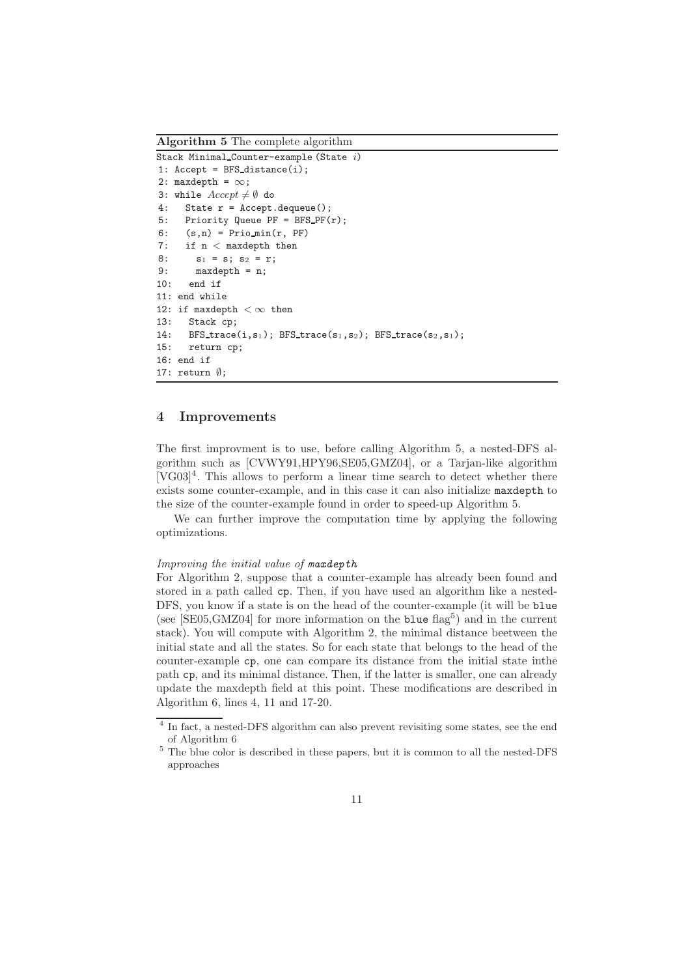Algorithm 5 The complete algorithm

```
Stack Minimal Counter-example (State i)
1: Accept = BFS\_distance(i);2: maxdepth = \infty;
3: while Accept \neq \emptyset do
4: State r = Accept.dequeue();
5: Priority Queue PF = BFS PF(r);
6: (s,n) = Prio min(r, PF)
7: if n < maxdepth then
8: s_1 = s; s_2 = r;9: maxdepth = n;
10: end if
11: end while
12: if maxdepth < \infty then
13: Stack cp;
14: BFS_trace(i,s<sub>1</sub>); BFS_trace(s<sub>1</sub>,s<sub>2</sub>); BFS_trace(s<sub>2</sub>,s<sub>1</sub>);
15: return cp;
16: end if
17: return ∅;
```
# 4 Improvements

The first improvment is to use, before calling Algorithm 5, a nested-DFS algorithm such as [CVWY91,HPY96,SE05,GMZ04], or a Tarjan-like algorithm [VG03]<sup>4</sup> . This allows to perform a linear time search to detect whether there exists some counter-example, and in this case it can also initialize maxdepth to the size of the counter-example found in order to speed-up Algorithm 5.

We can further improve the computation time by applying the following optimizations.

### Improving the initial value of maxdepth

For Algorithm 2, suppose that a counter-example has already been found and stored in a path called cp. Then, if you have used an algorithm like a nested-DFS, you know if a state is on the head of the counter-example (it will be blue (see  $[SE05, GMZ04]$  for more information on the blue flag<sup>5</sup>) and in the current stack). You will compute with Algorithm 2, the minimal distance beetween the initial state and all the states. So for each state that belongs to the head of the counter-example cp, one can compare its distance from the initial state inthe path cp, and its minimal distance. Then, if the latter is smaller, one can already update the maxdepth field at this point. These modifications are described in Algorithm 6, lines 4, 11 and 17-20.

<sup>&</sup>lt;sup>4</sup> In fact, a nested-DFS algorithm can also prevent revisiting some states, see the end of Algorithm 6

 $^5$  The blue color is described in these papers, but it is common to all the nested-DFS  $\,$ approaches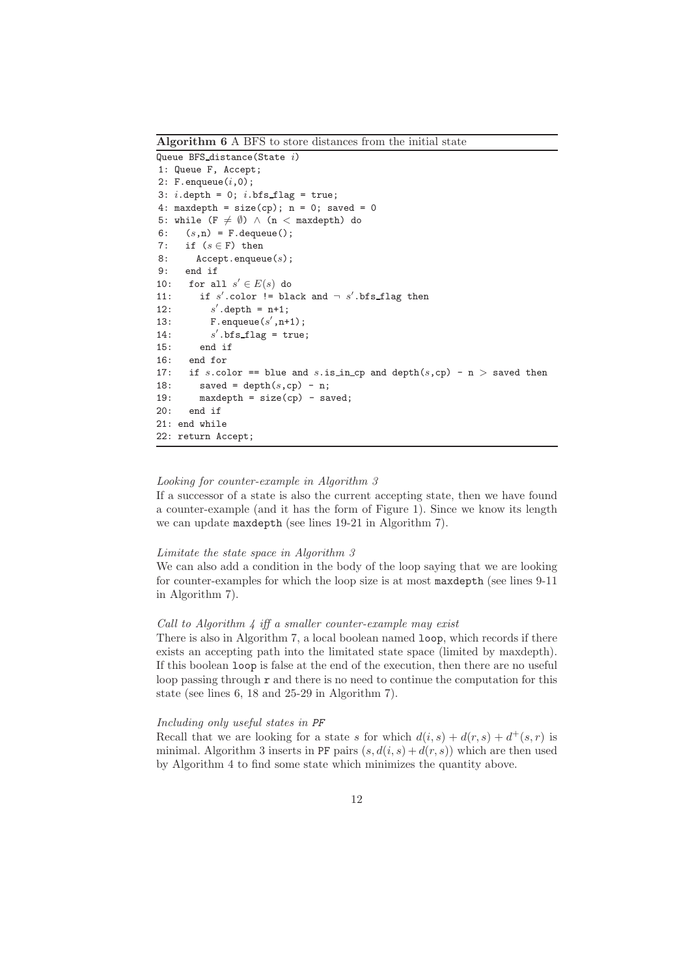Queue BFS\_distance(State  $i$ ) 1: Queue F, Accept; 2:  $F$ . enqueue $(i, 0)$ ; 3:  $i$ .depth = 0;  $i$ .bfs\_flag = true; 4: maxdepth =  $size(cp)$ ; n = 0; saved = 0 5: while  $(F \neq \emptyset) \wedge (n <$  maxdepth) do 6:  $(s,n) = F$ . dequeue(); 7: if  $(s \in F)$  then 8: Accept.enqueue(s); 9: end if 10: for all  $s' \in E(s)$  do 11: if  $s'$ .color  $!=$  black and  $\neg s'$ .bfs\_flag then  $12:$  $'$ .depth =  $n+1$ ; 13: F.enqueue $(s', n+1)$ ;  $14:$  $\dot{ }$ .bfs\_flag = true; 15: end if 16: end for 17: if s.color == blue and s.is\_in\_cp and depth $(s, cp) - n >$  saved then 18: saved = depth $(s, cp)$  - n; 19: maxdepth =  $size(cp)$  - saved; 20: end if 21: end while 22: return Accept;

Algorithm 6 A BFS to store distances from the initial state

## Looking for counter-example in Algorithm 3

If a successor of a state is also the current accepting state, then we have found a counter-example (and it has the form of Figure 1). Since we know its length we can update maxdepth (see lines 19-21 in Algorithm 7).

#### Limitate the state space in Algorithm 3

We can also add a condition in the body of the loop saying that we are looking for counter-examples for which the loop size is at most maxdepth (see lines 9-11 in Algorithm 7).

#### Call to Algorithm  $\frac{1}{4}$  iff a smaller counter-example may exist

There is also in Algorithm 7, a local boolean named loop, which records if there exists an accepting path into the limitated state space (limited by maxdepth). If this boolean loop is false at the end of the execution, then there are no useful loop passing through  $r$  and there is no need to continue the computation for this state (see lines 6, 18 and 25-29 in Algorithm 7).

#### Including only useful states in PF

Recall that we are looking for a state s for which  $d(i, s) + d(r, s) + d^+(s, r)$  is minimal. Algorithm 3 inserts in PF pairs  $(s, d(i, s) + d(r, s))$  which are then used by Algorithm 4 to find some state which minimizes the quantity above.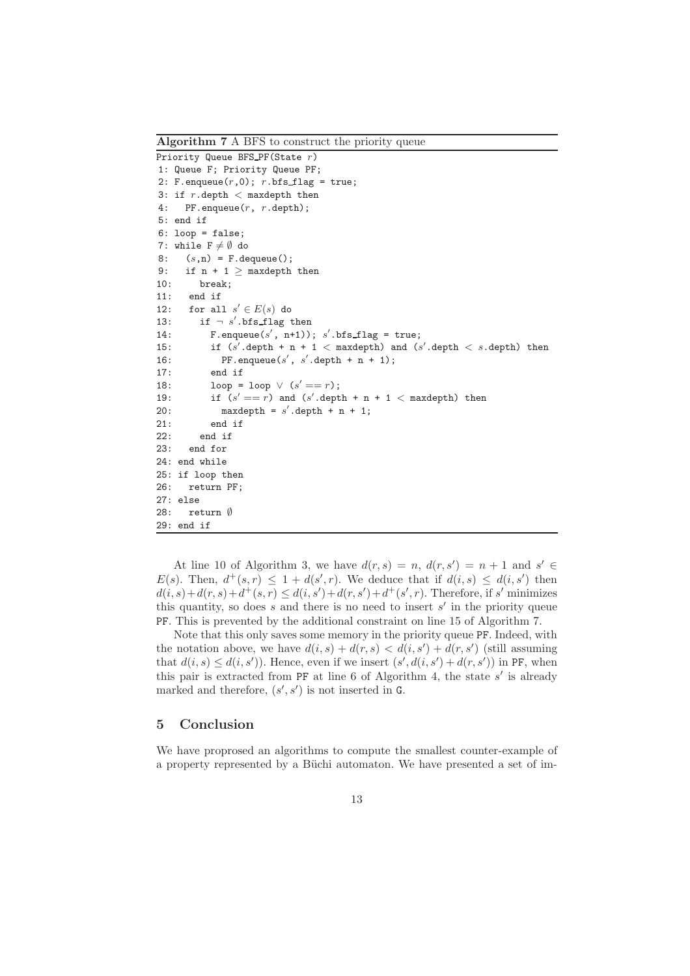Algorithm 7 A BFS to construct the priority queue Priority Queue BFS PF(State r) 1: Queue F; Priority Queue PF; 2: F.enqueue $(r,0)$ ; r.bfs\_flag = true; 3: if  $r$ .depth  $\lt$  maxdepth then 4: PF.enqueue(r, r.depth); 5: end if 6: loop = false; 7: while  $F \neq \emptyset$  do 8:  $(s,n) = F$ . dequeue(); 9: if  $n + 1 \geq$  maxdepth then 10: break; 11: end if 12: for all  $s' \in E(s)$  do 13: if  $\neg s'.\text{bfs\_flag then}$ 14: F.enqueue $(s', n+1)$ ; s'.bfs\_flag = true; 15: if  $(s' \text{.depth } + n + 1 < \text{maxdepth})$  and  $(s' \text{.depth } < s \text{.depth})$  then 16: PF.enqueue(s', s'.depth + n + 1); 17: end if 18: loop = loop  $\vee$   $(s' == r)$ ; 19: if  $(s' == r)$  and  $(s' \text{. depth } + n + 1 < \text{.}$  maxdepth) then 20: maxdepth =  $s'$ .depth + n + 1; 21: end if 22: end if 23: end for 24: end while 25: if loop then 26: return PF; 27: else 28: return ∅ 29: end if

At line 10 of Algorithm 3, we have  $d(r, s) = n$ ,  $d(r, s') = n + 1$  and  $s' \in$  $E(s)$ . Then,  $d^+(s,r) \leq 1 + d(s',r)$ . We deduce that if  $d(i,s) \leq d(i,s')$  then  $d(i, s) + d(r, s) + d^{+}(s, r) \leq d(i, s') + d(r, s') + d^{+}(s', r)$ . Therefore, if s' minimizes this quantity, so does  $s$  and there is no need to insert  $s'$  in the priority queue PF. This is prevented by the additional constraint on line 15 of Algorithm 7.

Note that this only saves some memory in the priority queue PF. Indeed, with the notation above, we have  $d(i, s) + d(r, s) < d(i, s') + d(r, s')$  (still assuming that  $d(i, s) \leq d(i, s')$ ). Hence, even if we insert  $(s', d(i, s') + d(r, s'))$  in PF, when this pair is extracted from PF at line 6 of Algorithm 4, the state s' is already marked and therefore,  $(s', s')$  is not inserted in G.

# 5 Conclusion

We have proprosed an algorithms to compute the smallest counter-example of a property represented by a Büchi automaton. We have presented a set of im